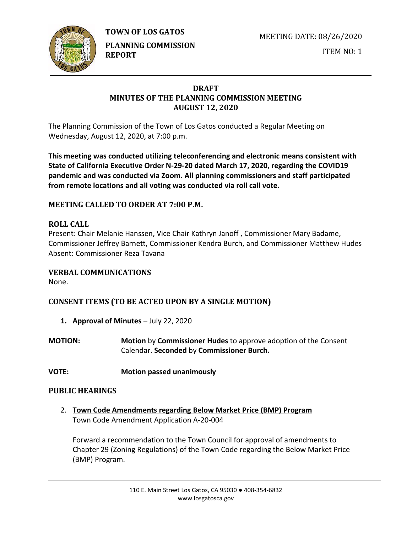

**TOWN OF LOS GATOS** 

**PLANNING COMMISSION REPORT**

MEETING DATE: 08/26/2020

ITEM NO: 1

## **DRAFT MINUTES OF THE PLANNING COMMISSION MEETING AUGUST 12, 2020**

The Planning Commission of the Town of Los Gatos conducted a Regular Meeting on Wednesday, August 12, 2020, at 7:00 p.m.

**This meeting was conducted utilizing teleconferencing and electronic means consistent with State of California Executive Order N-29-20 dated March 17, 2020, regarding the COVID19 pandemic and was conducted via Zoom. All planning commissioners and staff participated from remote locations and all voting was conducted via roll call vote.**

# **MEETING CALLED TO ORDER AT 7:00 P.M.**

# **ROLL CALL**

Present: Chair Melanie Hanssen, Vice Chair Kathryn Janoff , Commissioner Mary Badame, Commissioner Jeffrey Barnett, Commissioner Kendra Burch, and Commissioner Matthew Hudes Absent: Commissioner Reza Tavana

# **VERBAL COMMUNICATIONS**

None.

# **CONSENT ITEMS (TO BE ACTED UPON BY A SINGLE MOTION)**

**1. Approval of Minutes** – July 22, 2020

**MOTION: Motion** by **Commissioner Hudes** to approve adoption of the Consent Calendar. **Seconded** by **Commissioner Burch.**

**VOTE: Motion passed unanimously**

# **PUBLIC HEARINGS**

2. **Town Code Amendments regarding Below Market Price (BMP) Program** Town Code Amendment Application A-20-004

Forward a recommendation to the Town Council for approval of amendments to Chapter 29 (Zoning Regulations) of the Town Code regarding the Below Market Price (BMP) Program.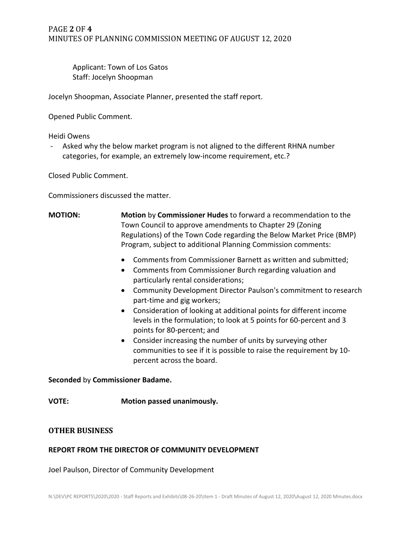## PAGE **2** OF **4** MINUTES OF PLANNING COMMISSION MEETING OF AUGUST 12, 2020

Applicant: Town of Los Gatos Staff: Jocelyn Shoopman

Jocelyn Shoopman, Associate Planner, presented the staff report.

Opened Public Comment.

Heidi Owens

Asked why the below market program is not aligned to the different RHNA number categories, for example, an extremely low-income requirement, etc.?

Closed Public Comment.

Commissioners discussed the matter.

- **MOTION: Motion** by **Commissioner Hudes** to forward a recommendation to the Town Council to approve amendments to Chapter 29 (Zoning Regulations) of the Town Code regarding the Below Market Price (BMP) Program, subject to additional Planning Commission comments:
	- Comments from Commissioner Barnett as written and submitted;
	- Comments from Commissioner Burch regarding valuation and particularly rental considerations;
	- Community Development Director Paulson's commitment to research part-time and gig workers;
	- Consideration of looking at additional points for different income levels in the formulation; to look at 5 points for 60-percent and 3 points for 80-percent; and
	- Consider increasing the number of units by surveying other communities to see if it is possible to raise the requirement by 10 percent across the board.

**Seconded** by **Commissioner Badame.**

**VOTE: Motion passed unanimously.**

#### **OTHER BUSINESS**

#### **REPORT FROM THE DIRECTOR OF COMMUNITY DEVELOPMENT**

Joel Paulson, Director of Community Development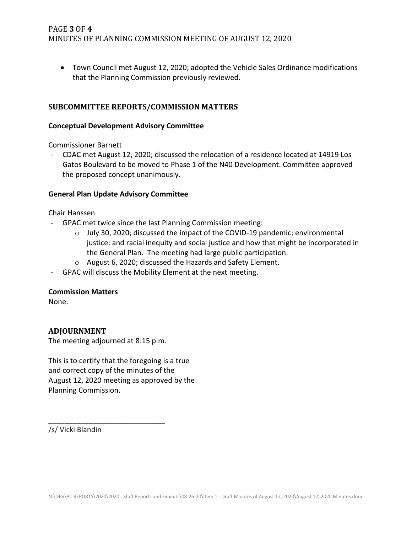• Town Council met August 12, 2020; adopted the Vehicle Sales Ordinance modifications that the Planning Commission previously reviewed.

## **SUBCOMMITTEE REPORTS/COMMISSION MATTERS**

#### **Conceptual Development Advisory Committee**

Commissioner Barnett

- CDAC met August 12, 2020; discussed the relocation of a residence located at 14919 Los Gatos Boulevard to be moved to Phase 1 of the N40 Development. Committee approved the proposed concept unanimously.

#### **General Plan Update Advisory Committee**

Chair Hanssen

- GPAC met twice since the last Planning Commission meeting:
	- o July 30, 2020; discussed the impact of the COVID-19 pandemic; environmental justice; and racial inequity and social justice and how that might be incorporated in the General Plan. The meeting had large public participation.
	- o August 6, 2020; discussed the Hazards and Safety Element.
- GPAC will discuss the Mobility Element at the next meeting.

#### **Commission Matters**

None.

### **ADJOURNMENT**

The meeting adjourned at 8:15 p.m.

\_\_\_\_\_\_\_\_\_\_\_\_\_\_\_\_\_\_\_\_\_\_\_\_\_\_\_\_\_

This is to certify that the foregoing is a true and correct copy of the minutes of the August 12, 2020 meeting as approved by the Planning Commission.

/s/ Vicki Blandin